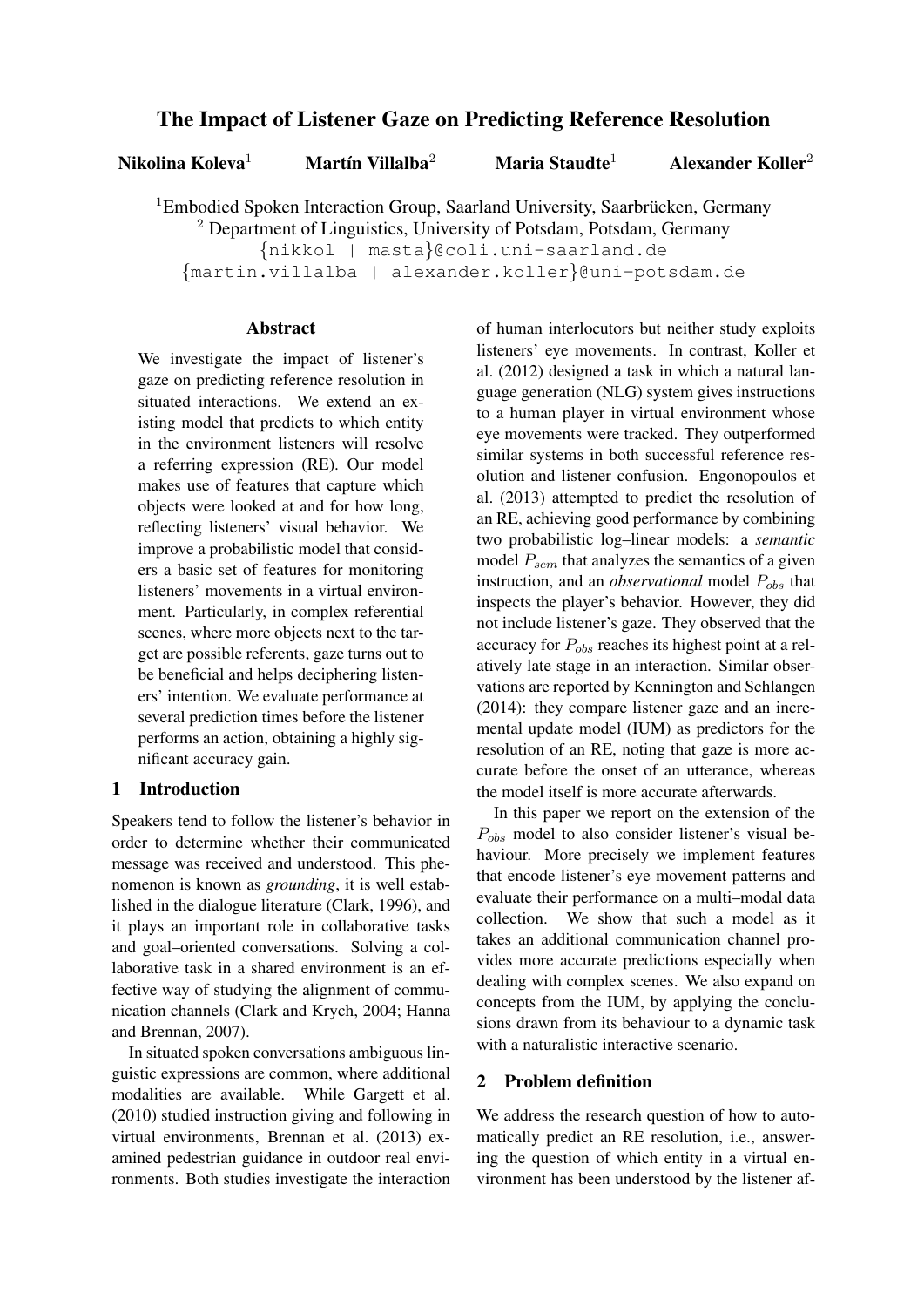# The Impact of Listener Gaze on Predicting Reference Resolution

Nikolina Koleva<sup>1</sup> Martín Villalba<sup>2</sup> Maria Staudte<sup>1</sup>

Alexander Koller<sup>2</sup>

<sup>1</sup>Embodied Spoken Interaction Group, Saarland University, Saarbrücken, Germany <sup>2</sup> Department of Linguistics, University of Potsdam, Potsdam, Germany

{nikkol | masta}@coli.uni-saarland.de

{martin.villalba | alexander.koller}@uni-potsdam.de

### Abstract

We investigate the impact of listener's gaze on predicting reference resolution in situated interactions. We extend an existing model that predicts to which entity in the environment listeners will resolve a referring expression (RE). Our model makes use of features that capture which objects were looked at and for how long, reflecting listeners' visual behavior. We improve a probabilistic model that considers a basic set of features for monitoring listeners' movements in a virtual environment. Particularly, in complex referential scenes, where more objects next to the target are possible referents, gaze turns out to be beneficial and helps deciphering listeners' intention. We evaluate performance at several prediction times before the listener performs an action, obtaining a highly significant accuracy gain.

# 1 Introduction

Speakers tend to follow the listener's behavior in order to determine whether their communicated message was received and understood. This phenomenon is known as *grounding*, it is well established in the dialogue literature (Clark, 1996), and it plays an important role in collaborative tasks and goal–oriented conversations. Solving a collaborative task in a shared environment is an effective way of studying the alignment of communication channels (Clark and Krych, 2004; Hanna and Brennan, 2007).

In situated spoken conversations ambiguous linguistic expressions are common, where additional modalities are available. While Gargett et al. (2010) studied instruction giving and following in virtual environments, Brennan et al. (2013) examined pedestrian guidance in outdoor real environments. Both studies investigate the interaction

of human interlocutors but neither study exploits listeners' eye movements. In contrast, Koller et al. (2012) designed a task in which a natural language generation (NLG) system gives instructions to a human player in virtual environment whose eye movements were tracked. They outperformed similar systems in both successful reference resolution and listener confusion. Engonopoulos et al. (2013) attempted to predict the resolution of an RE, achieving good performance by combining two probabilistic log–linear models: a *semantic* model  $P_{sem}$  that analyzes the semantics of a given instruction, and an *observational* model  $P_{obs}$  that inspects the player's behavior. However, they did not include listener's gaze. They observed that the accuracy for  $P_{obs}$  reaches its highest point at a relatively late stage in an interaction. Similar observations are reported by Kennington and Schlangen (2014): they compare listener gaze and an incremental update model (IUM) as predictors for the resolution of an RE, noting that gaze is more accurate before the onset of an utterance, whereas the model itself is more accurate afterwards.

In this paper we report on the extension of the  $P_{obs}$  model to also consider listener's visual behaviour. More precisely we implement features that encode listener's eye movement patterns and evaluate their performance on a multi–modal data collection. We show that such a model as it takes an additional communication channel provides more accurate predictions especially when dealing with complex scenes. We also expand on concepts from the IUM, by applying the conclusions drawn from its behaviour to a dynamic task with a naturalistic interactive scenario.

# 2 Problem definition

We address the research question of how to automatically predict an RE resolution, i.e., answering the question of which entity in a virtual environment has been understood by the listener af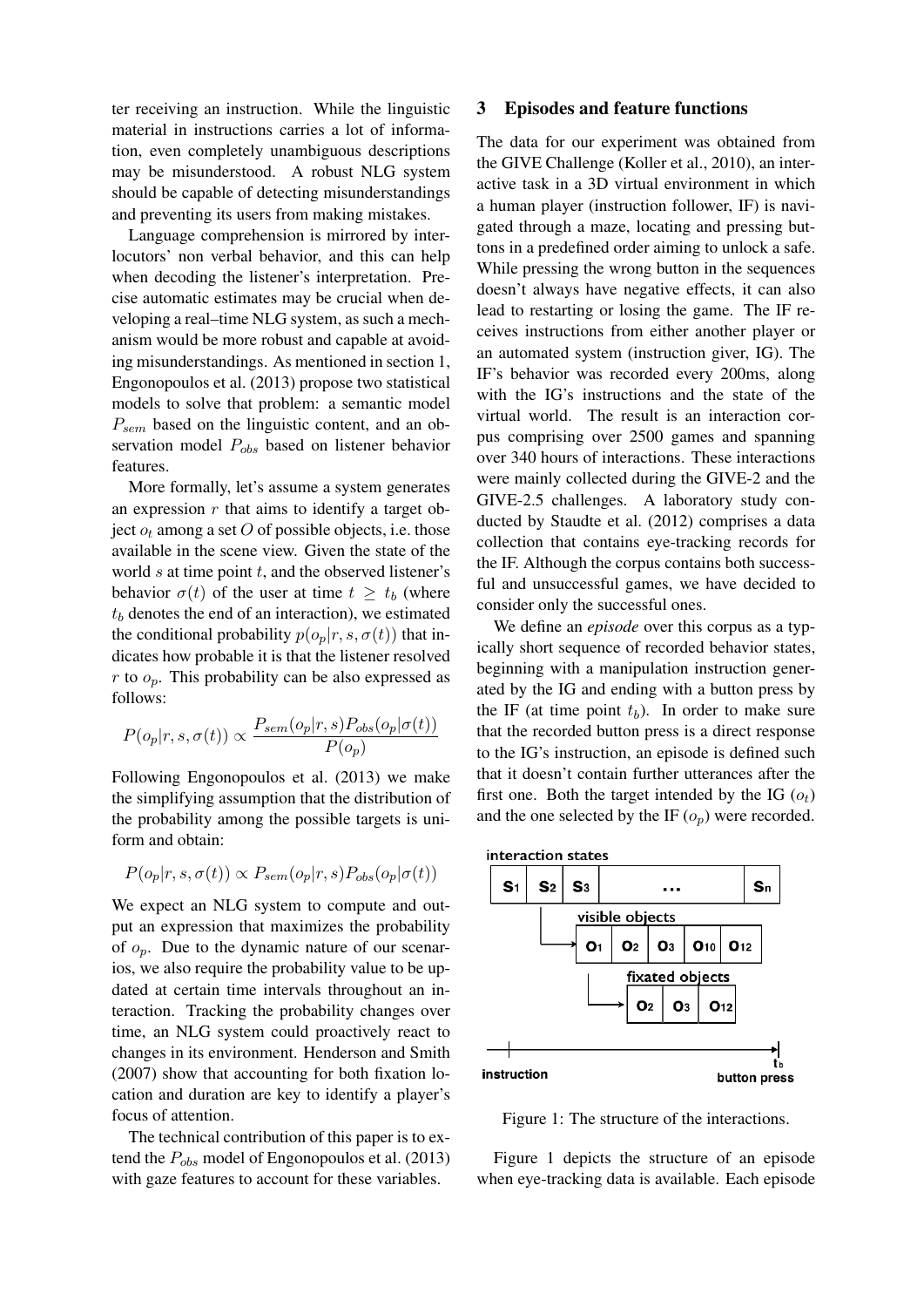ter receiving an instruction. While the linguistic material in instructions carries a lot of information, even completely unambiguous descriptions may be misunderstood. A robust NLG system should be capable of detecting misunderstandings and preventing its users from making mistakes.

Language comprehension is mirrored by interlocutors' non verbal behavior, and this can help when decoding the listener's interpretation. Precise automatic estimates may be crucial when developing a real–time NLG system, as such a mechanism would be more robust and capable at avoiding misunderstandings. As mentioned in section 1, Engonopoulos et al. (2013) propose two statistical models to solve that problem: a semantic model  $P_{sem}$  based on the linguistic content, and an observation model  $P_{obs}$  based on listener behavior features.

More formally, let's assume a system generates an expression  $r$  that aims to identify a target object  $o_t$  among a set O of possible objects, i.e. those available in the scene view. Given the state of the world  $s$  at time point  $t$ , and the observed listener's behavior  $\sigma(t)$  of the user at time  $t \geq t_b$  (where  $t<sub>b</sub>$  denotes the end of an interaction), we estimated the conditional probability  $p(o_p|r, s, \sigma(t))$  that indicates how probable it is that the listener resolved  $r$  to  $o_p$ . This probability can be also expressed as follows:

$$
P(o_p|r, s, \sigma(t)) \propto \frac{P_{sem}(o_p|r, s)P_{obs}(o_p|\sigma(t))}{P(o_p)}
$$

Following Engonopoulos et al. (2013) we make the simplifying assumption that the distribution of the probability among the possible targets is uniform and obtain:

$$
P(o_p|r, s, \sigma(t)) \propto P_{sem}(o_p|r, s) P_{obs}(o_p|\sigma(t))
$$

We expect an NLG system to compute and output an expression that maximizes the probability of  $o_n$ . Due to the dynamic nature of our scenarios, we also require the probability value to be updated at certain time intervals throughout an interaction. Tracking the probability changes over time, an NLG system could proactively react to changes in its environment. Henderson and Smith (2007) show that accounting for both fixation location and duration are key to identify a player's focus of attention.

The technical contribution of this paper is to extend the  $P_{obs}$  model of Engonopoulos et al. (2013) with gaze features to account for these variables.

#### 3 Episodes and feature functions

The data for our experiment was obtained from the GIVE Challenge (Koller et al., 2010), an interactive task in a 3D virtual environment in which a human player (instruction follower, IF) is navigated through a maze, locating and pressing buttons in a predefined order aiming to unlock a safe. While pressing the wrong button in the sequences doesn't always have negative effects, it can also lead to restarting or losing the game. The IF receives instructions from either another player or an automated system (instruction giver, IG). The IF's behavior was recorded every 200ms, along with the IG's instructions and the state of the virtual world. The result is an interaction corpus comprising over 2500 games and spanning over 340 hours of interactions. These interactions were mainly collected during the GIVE-2 and the GIVE-2.5 challenges. A laboratory study conducted by Staudte et al. (2012) comprises a data collection that contains eye-tracking records for the IF. Although the corpus contains both successful and unsuccessful games, we have decided to consider only the successful ones.

We define an *episode* over this corpus as a typically short sequence of recorded behavior states, beginning with a manipulation instruction generated by the IG and ending with a button press by the IF (at time point  $t<sub>b</sub>$ ). In order to make sure that the recorded button press is a direct response to the IG's instruction, an episode is defined such that it doesn't contain further utterances after the first one. Both the target intended by the IG  $(o_t)$ and the one selected by the IF  $(o_p)$  were recorded.



Figure 1: The structure of the interactions.

Figure 1 depicts the structure of an episode when eye-tracking data is available. Each episode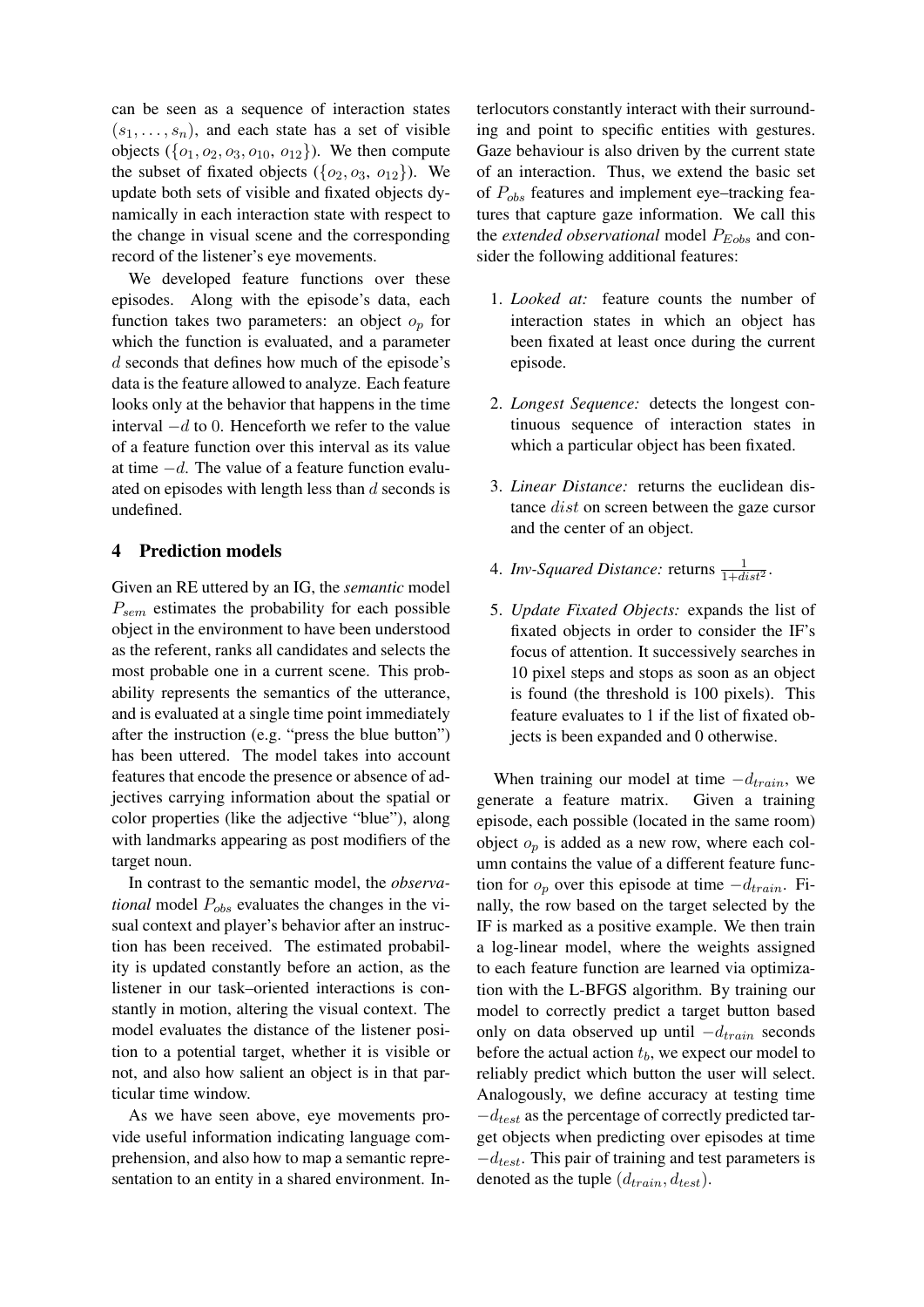can be seen as a sequence of interaction states  $(s_1, \ldots, s_n)$ , and each state has a set of visible objects  $({o_1, o_2, o_3, o_{10}, o_{12}})$ . We then compute the subset of fixated objects  $({o_2, o_3, o_{12}})$ . We update both sets of visible and fixated objects dynamically in each interaction state with respect to the change in visual scene and the corresponding record of the listener's eye movements.

We developed feature functions over these episodes. Along with the episode's data, each function takes two parameters: an object  $o_p$  for which the function is evaluated, and a parameter d seconds that defines how much of the episode's data is the feature allowed to analyze. Each feature looks only at the behavior that happens in the time interval  $-d$  to 0. Henceforth we refer to the value of a feature function over this interval as its value at time −d. The value of a feature function evaluated on episodes with length less than  $d$  seconds is undefined.

## 4 Prediction models

Given an RE uttered by an IG, the *semantic* model  $P_{sem}$  estimates the probability for each possible object in the environment to have been understood as the referent, ranks all candidates and selects the most probable one in a current scene. This probability represents the semantics of the utterance, and is evaluated at a single time point immediately after the instruction (e.g. "press the blue button") has been uttered. The model takes into account features that encode the presence or absence of adjectives carrying information about the spatial or color properties (like the adjective "blue"), along with landmarks appearing as post modifiers of the target noun.

In contrast to the semantic model, the *observational* model  $P_{obs}$  evaluates the changes in the visual context and player's behavior after an instruction has been received. The estimated probability is updated constantly before an action, as the listener in our task–oriented interactions is constantly in motion, altering the visual context. The model evaluates the distance of the listener position to a potential target, whether it is visible or not, and also how salient an object is in that particular time window.

As we have seen above, eye movements provide useful information indicating language comprehension, and also how to map a semantic representation to an entity in a shared environment. Interlocutors constantly interact with their surrounding and point to specific entities with gestures. Gaze behaviour is also driven by the current state of an interaction. Thus, we extend the basic set of  $P_{obs}$  features and implement eye–tracking features that capture gaze information. We call this the *extended observational* model  $P_{Eobs}$  and consider the following additional features:

- 1. *Looked at:* feature counts the number of interaction states in which an object has been fixated at least once during the current episode.
- 2. *Longest Sequence:* detects the longest continuous sequence of interaction states in which a particular object has been fixated.
- 3. *Linear Distance:* returns the euclidean distance dist on screen between the gaze cursor and the center of an object.
- 4. *Inv-Squared Distance:* returns  $\frac{1}{1+dist^2}$ .
- 5. *Update Fixated Objects:* expands the list of fixated objects in order to consider the IF's focus of attention. It successively searches in 10 pixel steps and stops as soon as an object is found (the threshold is 100 pixels). This feature evaluates to 1 if the list of fixated objects is been expanded and 0 otherwise.

When training our model at time  $-d_{train}$ , we generate a feature matrix. Given a training episode, each possible (located in the same room) object  $o_p$  is added as a new row, where each column contains the value of a different feature function for  $o_p$  over this episode at time  $-d_{train}$ . Finally, the row based on the target selected by the IF is marked as a positive example. We then train a log-linear model, where the weights assigned to each feature function are learned via optimization with the L-BFGS algorithm. By training our model to correctly predict a target button based only on data observed up until  $-d_{train}$  seconds before the actual action  $t<sub>b</sub>$ , we expect our model to reliably predict which button the user will select. Analogously, we define accuracy at testing time  $-d_{test}$  as the percentage of correctly predicted target objects when predicting over episodes at time  $-d_{test}$ . This pair of training and test parameters is denoted as the tuple  $(d_{train}, d_{test})$ .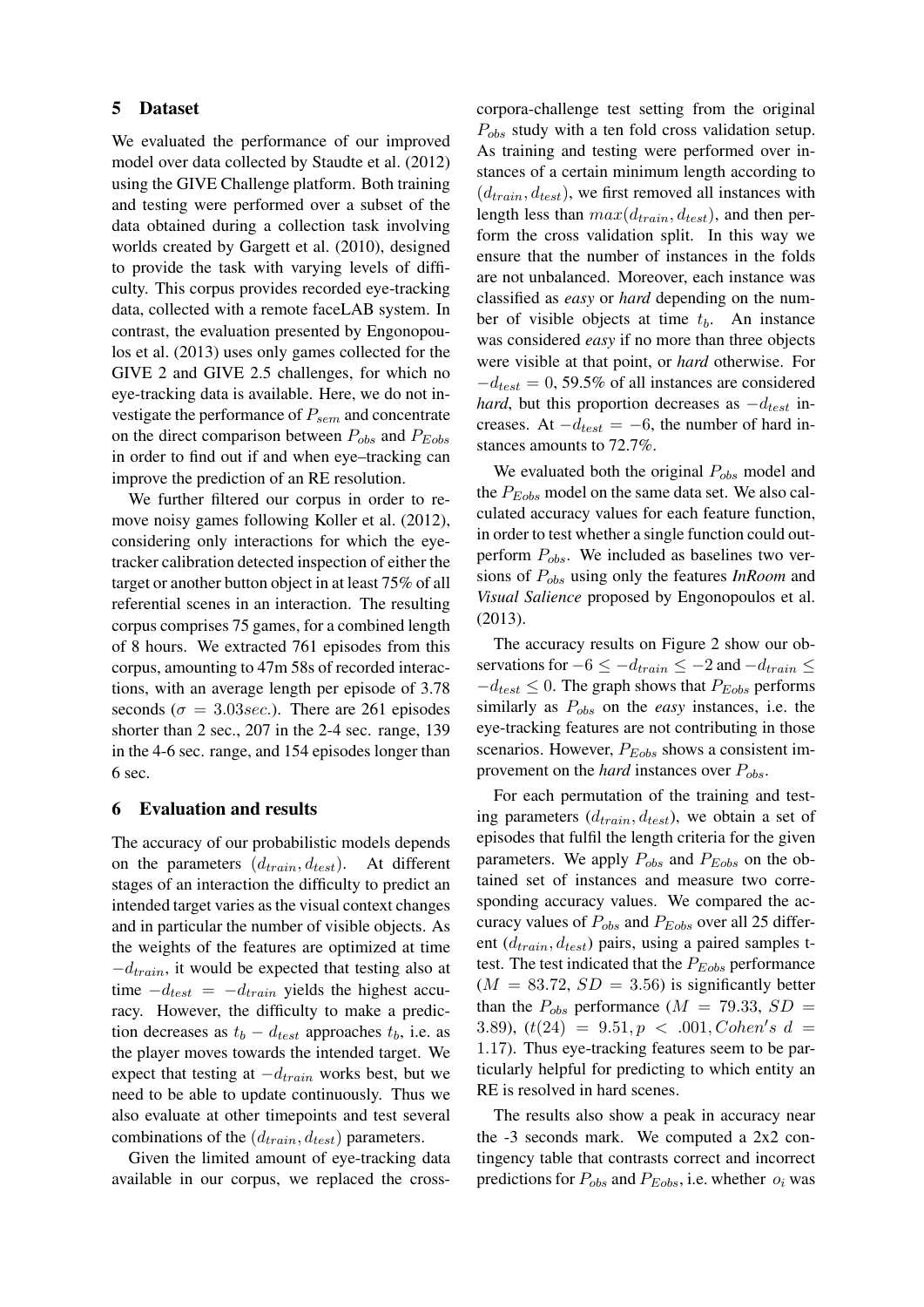### 5 Dataset

We evaluated the performance of our improved model over data collected by Staudte et al. (2012) using the GIVE Challenge platform. Both training and testing were performed over a subset of the data obtained during a collection task involving worlds created by Gargett et al. (2010), designed to provide the task with varying levels of difficulty. This corpus provides recorded eye-tracking data, collected with a remote faceLAB system. In contrast, the evaluation presented by Engonopoulos et al. (2013) uses only games collected for the GIVE 2 and GIVE 2.5 challenges, for which no eye-tracking data is available. Here, we do not investigate the performance of  $P_{sem}$  and concentrate on the direct comparison between  $P_{obs}$  and  $P_{Eobs}$ in order to find out if and when eye–tracking can improve the prediction of an RE resolution.

We further filtered our corpus in order to remove noisy games following Koller et al. (2012), considering only interactions for which the eyetracker calibration detected inspection of either the target or another button object in at least 75% of all referential scenes in an interaction. The resulting corpus comprises 75 games, for a combined length of 8 hours. We extracted 761 episodes from this corpus, amounting to 47m 58s of recorded interactions, with an average length per episode of 3.78 seconds ( $\sigma = 3.03 \text{ sec}$ .). There are 261 episodes shorter than 2 sec., 207 in the 2-4 sec. range, 139 in the 4-6 sec. range, and 154 episodes longer than 6 sec.

#### 6 Evaluation and results

The accuracy of our probabilistic models depends on the parameters  $(d_{train}, d_{test})$ . At different stages of an interaction the difficulty to predict an intended target varies as the visual context changes and in particular the number of visible objects. As the weights of the features are optimized at time  $-d_{train}$ , it would be expected that testing also at time  $-d_{test} = -d_{train}$  yields the highest accuracy. However, the difficulty to make a prediction decreases as  $t_b - d_{test}$  approaches  $t_b$ , i.e. as the player moves towards the intended target. We expect that testing at  $-d_{train}$  works best, but we need to be able to update continuously. Thus we also evaluate at other timepoints and test several combinations of the  $(d_{train}, d_{test})$  parameters.

Given the limited amount of eye-tracking data available in our corpus, we replaced the crosscorpora-challenge test setting from the original  $P_{obs}$  study with a ten fold cross validation setup. As training and testing were performed over instances of a certain minimum length according to  $(d_{train}, d_{test})$ , we first removed all instances with length less than  $max(d_{train}, d_{test})$ , and then perform the cross validation split. In this way we ensure that the number of instances in the folds are not unbalanced. Moreover, each instance was classified as *easy* or *hard* depending on the number of visible objects at time  $t<sub>b</sub>$ . An instance was considered *easy* if no more than three objects were visible at that point, or *hard* otherwise. For  $-d_{test} = 0$ , 59.5% of all instances are considered *hard*, but this proportion decreases as  $-d_{test}$  increases. At  $-d_{test} = -6$ , the number of hard instances amounts to 72.7%.

We evaluated both the original  $P_{obs}$  model and the  $P_{Eobs}$  model on the same data set. We also calculated accuracy values for each feature function, in order to test whether a single function could outperform  $P_{obs}$ . We included as baselines two versions of Pobs using only the features *InRoom* and *Visual Salience* proposed by Engonopoulos et al. (2013).

The accuracy results on Figure 2 show our observations for  $-6 \le -d_{train} \le -2$  and  $-d_{train} \le$  $-d_{test} \leq 0$ . The graph shows that  $P_{Eobs}$  performs similarly as Pobs on the *easy* instances, i.e. the eye-tracking features are not contributing in those scenarios. However,  $P_{Eobs}$  shows a consistent improvement on the *hard* instances over  $P_{obs}$ .

For each permutation of the training and testing parameters  $(d_{train}, d_{test})$ , we obtain a set of episodes that fulfil the length criteria for the given parameters. We apply  $P_{obs}$  and  $P_{Eobs}$  on the obtained set of instances and measure two corresponding accuracy values. We compared the accuracy values of  $P_{obs}$  and  $P_{Eobs}$  over all 25 different  $(d_{train}, d_{test})$  pairs, using a paired samples ttest. The test indicated that the  $P_{Eobs}$  performance  $(M = 83.72, SD = 3.56)$  is significantly better than the  $P_{obs}$  performance ( $M = 79.33, SD =$ 3.89),  $(t(24) = 9.51, p < .001, Cohen's d =$ 1.17). Thus eye-tracking features seem to be particularly helpful for predicting to which entity an RE is resolved in hard scenes.

The results also show a peak in accuracy near the -3 seconds mark. We computed a 2x2 contingency table that contrasts correct and incorrect predictions for  $P_{obs}$  and  $P_{Eobs}$ , i.e. whether  $o_i$  was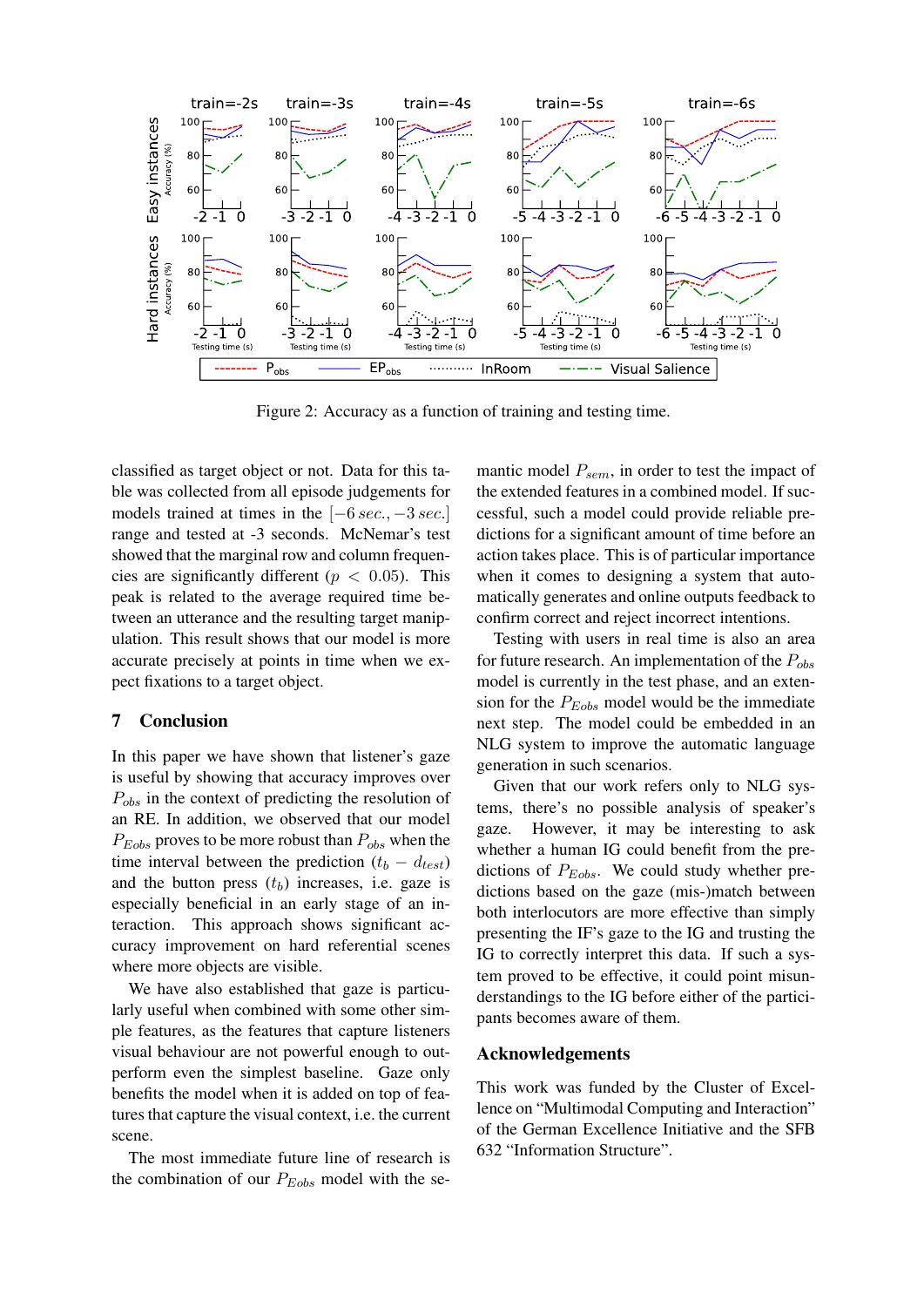

Figure 2: Accuracy as a function of training and testing time.

classified as target object or not. Data for this table was collected from all episode judgements for models trained at times in the  $[-6 \text{ sec.}, -3 \text{ sec.}]$ range and tested at -3 seconds. McNemar's test showed that the marginal row and column frequencies are significantly different ( $p < 0.05$ ). This peak is related to the average required time between an utterance and the resulting target manipulation. This result shows that our model is more accurate precisely at points in time when we expect fixations to a target object.

## 7 Conclusion

In this paper we have shown that listener's gaze is useful by showing that accuracy improves over  $P_{obs}$  in the context of predicting the resolution of an RE. In addition, we observed that our model  $P_{Eobs}$  proves to be more robust than  $P_{obs}$  when the time interval between the prediction  $(t_b - d_{test})$ and the button press  $(t<sub>b</sub>)$  increases, i.e. gaze is especially beneficial in an early stage of an interaction. This approach shows significant accuracy improvement on hard referential scenes where more objects are visible.

We have also established that gaze is particularly useful when combined with some other simple features, as the features that capture listeners visual behaviour are not powerful enough to outperform even the simplest baseline. Gaze only benefits the model when it is added on top of features that capture the visual context, i.e. the current scene.

The most immediate future line of research is the combination of our  $P_{Eobs}$  model with the semantic model  $P_{sem}$ , in order to test the impact of the extended features in a combined model. If successful, such a model could provide reliable predictions for a significant amount of time before an action takes place. This is of particular importance when it comes to designing a system that automatically generates and online outputs feedback to confirm correct and reject incorrect intentions.

Testing with users in real time is also an area for future research. An implementation of the  $P_{obs}$ model is currently in the test phase, and an extension for the  $P_{Eobs}$  model would be the immediate next step. The model could be embedded in an NLG system to improve the automatic language generation in such scenarios.

Given that our work refers only to NLG systems, there's no possible analysis of speaker's gaze. However, it may be interesting to ask whether a human IG could benefit from the predictions of  $P_{Eobs}$ . We could study whether predictions based on the gaze (mis-)match between both interlocutors are more effective than simply presenting the IF's gaze to the IG and trusting the IG to correctly interpret this data. If such a system proved to be effective, it could point misunderstandings to the IG before either of the participants becomes aware of them.

### Acknowledgements

This work was funded by the Cluster of Excellence on "Multimodal Computing and Interaction" of the German Excellence Initiative and the SFB 632 "Information Structure".